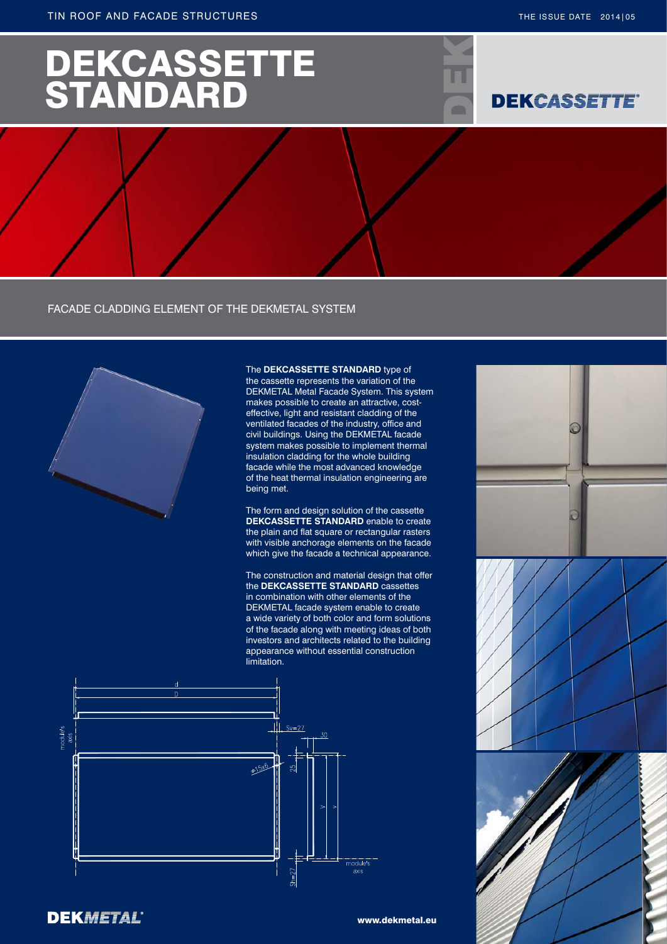# DEKCASSETTE STANDARD

## **DEKCASSETTE®**

 $\sqrt{2}$ 

FACADE CLADDING ELEMENT OF THE DEKMETAL SYSTEM



**DEKMETAL®** 

#### The **DEKCASSETTE STANDARD** type of

the cassette represents the variation of the DEKMETAL Metal Facade System. This system makes possible to create an attractive, costeffective, light and resistant cladding of the ventilated facades of the industry, office and civil buildings. Using the DEKMETAL facade system makes possible to implement thermal insulation cladding for the whole building facade while the most advanced knowledge of the heat thermal insulation engineering are being met.

The form and design solution of the cassette **DEKCASSETTE STANDARD** enable to create the plain and flat square or rectangular rasters with visible anchorage elements on the facade which give the facade a technical appearance.

The construction and material design that offer the **DEKCASSETTE STANDARD** cassettes in combination with other elements of the DEKMETAL facade system enable to create a wide variety of both color and form solutions of the facade along with meeting ideas of both investors and architects related to the building appearance without essential construction limitation.







www.dekmetal.eu